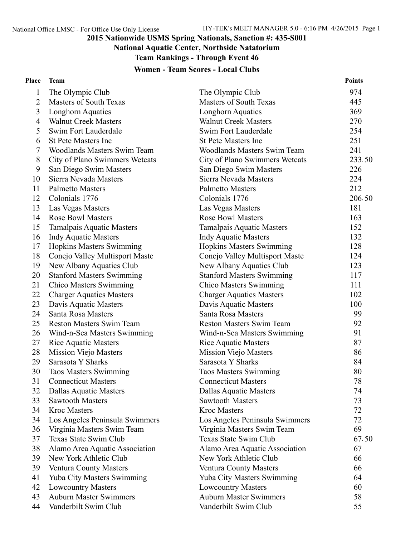#### **National Aquatic Center, Northside Natatorium**

**Team Rankings - Through Event 46**

## **Women - Team Scores - Local Clubs**

| <b>Place</b>   | <b>Team</b>                        |                                    | <b>Points</b> |
|----------------|------------------------------------|------------------------------------|---------------|
| $\mathbf{1}$   | The Olympic Club                   | The Olympic Club                   | 974           |
| $\overline{2}$ | <b>Masters of South Texas</b>      | <b>Masters of South Texas</b>      | 445           |
| 3              | Longhorn Aquatics                  | Longhorn Aquatics                  | 369           |
| $\overline{4}$ | <b>Walnut Creek Masters</b>        | <b>Walnut Creek Masters</b>        | 270           |
| 5              | Swim Fort Lauderdale               | Swim Fort Lauderdale               | 254           |
| 6              | <b>St Pete Masters Inc</b>         | <b>St Pete Masters Inc</b>         | 251           |
| 7              | <b>Woodlands Masters Swim Team</b> | <b>Woodlands Masters Swim Team</b> | 241           |
| 8              | City of Plano Swimmers Wetcats     | City of Plano Swimmers Wetcats     | 233.50        |
| 9              | San Diego Swim Masters             | San Diego Swim Masters             | 226           |
| 10             | Sierra Nevada Masters              | Sierra Nevada Masters              | 224           |
| 11             | <b>Palmetto Masters</b>            | <b>Palmetto Masters</b>            | 212           |
| 12             | Colonials 1776                     | Colonials 1776                     | 206.50        |
| 13             | Las Vegas Masters                  | Las Vegas Masters                  | 181           |
| 14             | <b>Rose Bowl Masters</b>           | <b>Rose Bowl Masters</b>           | 163           |
| 15             | Tamalpais Aquatic Masters          | <b>Tamalpais Aquatic Masters</b>   | 152           |
| 16             | <b>Indy Aquatic Masters</b>        | <b>Indy Aquatic Masters</b>        | 132           |
| 17             | <b>Hopkins Masters Swimming</b>    | <b>Hopkins Masters Swimming</b>    | 128           |
| 18             | Conejo Valley Multisport Maste     | Conejo Valley Multisport Maste     | 124           |
| 19             | New Albany Aquatics Club           | New Albany Aquatics Club           | 123           |
| 20             | <b>Stanford Masters Swimming</b>   | <b>Stanford Masters Swimming</b>   | 117           |
| 21             | <b>Chico Masters Swimming</b>      | <b>Chico Masters Swimming</b>      | 111           |
| 22             | <b>Charger Aquatics Masters</b>    | <b>Charger Aquatics Masters</b>    | 102           |
| 23             | Davis Aquatic Masters              | Davis Aquatic Masters              | 100           |
| 24             | Santa Rosa Masters                 | Santa Rosa Masters                 | 99            |
| 25             | <b>Reston Masters Swim Team</b>    | <b>Reston Masters Swim Team</b>    | 92            |
| 26             | Wind-n-Sea Masters Swimming        | Wind-n-Sea Masters Swimming        | 91            |
| 27             | <b>Rice Aquatic Masters</b>        | <b>Rice Aquatic Masters</b>        | 87            |
| 28             | <b>Mission Viejo Masters</b>       | <b>Mission Viejo Masters</b>       | 86            |
| 29             | Sarasota Y Sharks                  | Sarasota Y Sharks                  | 84            |
| 30             | <b>Taos Masters Swimming</b>       | <b>Taos Masters Swimming</b>       | 80            |
| 31             | <b>Connecticut Masters</b>         | <b>Connecticut Masters</b>         | 78            |
| 32             | <b>Dallas Aquatic Masters</b>      | Dallas Aquatic Masters             | 74            |
| 33             | <b>Sawtooth Masters</b>            | <b>Sawtooth Masters</b>            | 73            |
| 34             | <b>Kroc Masters</b>                | <b>Kroc Masters</b>                | 72            |
| 34             | Los Angeles Peninsula Swimmers     | Los Angeles Peninsula Swimmers     | 72            |
| 36             | Virginia Masters Swim Team         | Virginia Masters Swim Team         | 69            |
| 37             | <b>Texas State Swim Club</b>       | Texas State Swim Club              | 67.50         |
| 38             | Alamo Area Aquatic Association     | Alamo Area Aquatic Association     | 67            |
| 39             | New York Athletic Club             | New York Athletic Club             | 66            |
| 39             | Ventura County Masters             | <b>Ventura County Masters</b>      | 66            |
| 41             | <b>Yuba City Masters Swimming</b>  | <b>Yuba City Masters Swimming</b>  | 64            |
| 42             | <b>Lowcountry Masters</b>          | <b>Lowcountry Masters</b>          | 60            |
| 43             | <b>Auburn Master Swimmers</b>      | <b>Auburn Master Swimmers</b>      | 58            |
| 44             | Vanderbilt Swim Club               | Vanderbilt Swim Club               | 55            |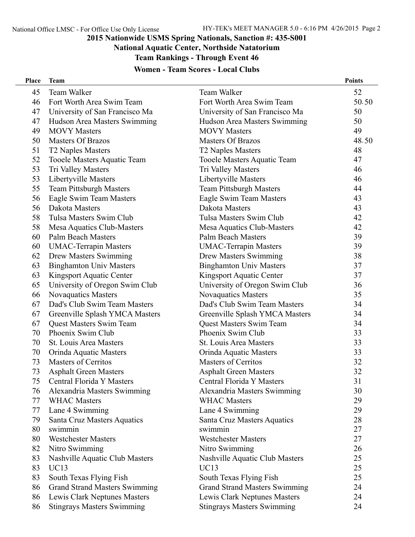#### **National Aquatic Center, Northside Natatorium**

**Team Rankings - Through Event 46**

## **Women - Team Scores - Local Clubs**

| Place | <b>Team</b>                          |                                      | <b>Points</b> |
|-------|--------------------------------------|--------------------------------------|---------------|
| 45    | Team Walker                          | Team Walker                          | 52            |
| 46    | Fort Worth Area Swim Team            | Fort Worth Area Swim Team            | 50.50         |
| 47    | University of San Francisco Ma       | University of San Francisco Ma       | 50            |
| 47    | Hudson Area Masters Swimming         | Hudson Area Masters Swimming         | 50            |
| 49    | <b>MOVY</b> Masters                  | <b>MOVY Masters</b>                  | 49            |
| 50    | <b>Masters Of Brazos</b>             | <b>Masters Of Brazos</b>             | 48.50         |
| 51    | T2 Naples Masters                    | T2 Naples Masters                    | 48            |
| 52    | Tooele Masters Aquatic Team          | Tooele Masters Aquatic Team          | 47            |
| 53    | Tri Valley Masters                   | Tri Valley Masters                   | 46            |
| 53    | Libertyville Masters                 | Libertyville Masters                 | 46            |
| 55    | <b>Team Pittsburgh Masters</b>       | <b>Team Pittsburgh Masters</b>       | 44            |
| 56    | Eagle Swim Team Masters              | Eagle Swim Team Masters              | 43            |
| 56    | Dakota Masters                       | Dakota Masters                       | 43            |
| 58    | Tulsa Masters Swim Club              | Tulsa Masters Swim Club              | 42            |
| 58    | Mesa Aquatics Club-Masters           | Mesa Aquatics Club-Masters           | 42            |
| 60    | <b>Palm Beach Masters</b>            | <b>Palm Beach Masters</b>            | 39            |
| 60    | <b>UMAC-Terrapin Masters</b>         | <b>UMAC-Terrapin Masters</b>         | 39            |
| 62    | Drew Masters Swimming                | <b>Drew Masters Swimming</b>         | 38            |
| 63    | <b>Binghamton Univ Masters</b>       | <b>Binghamton Univ Masters</b>       | 37            |
| 63    | Kingsport Aquatic Center             | Kingsport Aquatic Center             | 37            |
| 65    | University of Oregon Swim Club       | University of Oregon Swim Club       | 36            |
| 66    | <b>Novaquatics Masters</b>           | <b>Novaquatics Masters</b>           | 35            |
| 67    | Dad's Club Swim Team Masters         | Dad's Club Swim Team Masters         | 34            |
| 67    | Greenville Splash YMCA Masters       | Greenville Splash YMCA Masters       | 34            |
| 67    | Quest Masters Swim Team              | <b>Quest Masters Swim Team</b>       | 34            |
| 70    | Phoenix Swim Club                    | Phoenix Swim Club                    | 33            |
| 70    | St. Louis Area Masters               | St. Louis Area Masters               | 33            |
| 70    | Orinda Aquatic Masters               | Orinda Aquatic Masters               | 33            |
| 73    | <b>Masters of Cerritos</b>           | <b>Masters of Cerritos</b>           | 32            |
| 73    | <b>Asphalt Green Masters</b>         | <b>Asphalt Green Masters</b>         | 32            |
| 75    | Central Florida Y Masters            | Central Florida Y Masters            | 31            |
| 76    | Alexandria Masters Swimming          | Alexandria Masters Swimming          | 30            |
| 77    | <b>WHAC Masters</b>                  | <b>WHAC Masters</b>                  | 29            |
| 77    | Lane 4 Swimming                      | Lane 4 Swimming                      | 29            |
| 79    | Santa Cruz Masters Aquatics          | Santa Cruz Masters Aquatics          | 28            |
| 80    | swimmin                              | swimmin                              | 27            |
| 80    | <b>Westchester Masters</b>           | <b>Westchester Masters</b>           | 27            |
| 82    | Nitro Swimming                       | Nitro Swimming                       | 26            |
| 83    | Nashville Aquatic Club Masters       | Nashville Aquatic Club Masters       | 25            |
| 83    | <b>UC13</b>                          | <b>UC13</b>                          | 25            |
| 83    | South Texas Flying Fish              | South Texas Flying Fish              | 25            |
| 86    | <b>Grand Strand Masters Swimming</b> | <b>Grand Strand Masters Swimming</b> | 24            |
| 86    | Lewis Clark Neptunes Masters         | Lewis Clark Neptunes Masters         | 24            |
| 86    | <b>Stingrays Masters Swimming</b>    | <b>Stingrays Masters Swimming</b>    | 24            |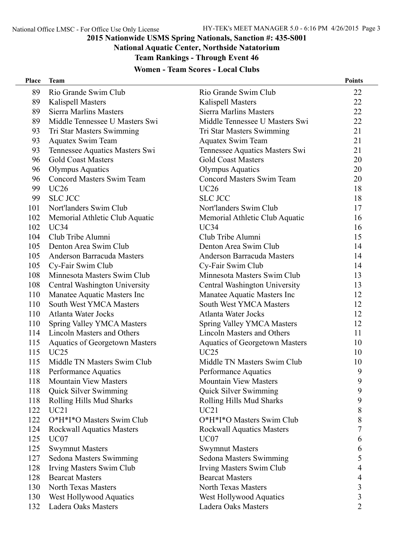## **National Aquatic Center, Northside Natatorium**

**Team Rankings - Through Event 46**

## **Women - Team Scores - Local Clubs**

| <b>Place</b> | <b>Team</b>                           |                                       | <b>Points</b>  |
|--------------|---------------------------------------|---------------------------------------|----------------|
| 89           | Rio Grande Swim Club                  | Rio Grande Swim Club                  | 22             |
| 89           | <b>Kalispell Masters</b>              | <b>Kalispell Masters</b>              | 22             |
| 89           | <b>Sierra Marlins Masters</b>         | <b>Sierra Marlins Masters</b>         | 22             |
| 89           | Middle Tennessee U Masters Swi        | Middle Tennessee U Masters Swi        | 22             |
| 93           | Tri Star Masters Swimming             | Tri Star Masters Swimming             | 21             |
| 93           | <b>Aquatex Swim Team</b>              | <b>Aquatex Swim Team</b>              | 21             |
| 93           | Tennessee Aquatics Masters Swi        | Tennessee Aquatics Masters Swi        | 21             |
| 96           | <b>Gold Coast Masters</b>             | <b>Gold Coast Masters</b>             | 20             |
| 96           | <b>Olympus Aquatics</b>               | <b>Olympus Aquatics</b>               | 20             |
| 96           | Concord Masters Swim Team             | <b>Concord Masters Swim Team</b>      | 20             |
| 99           | <b>UC26</b>                           | <b>UC26</b>                           | 18             |
| 99           | <b>SLC JCC</b>                        | <b>SLC JCC</b>                        | 18             |
| 101          | Nort'landers Swim Club                | Nort'landers Swim Club                | 17             |
| 102          | Memorial Athletic Club Aquatic        | Memorial Athletic Club Aquatic        | 16             |
| 102          | UC34                                  | UC34                                  | 16             |
| 104          | Club Tribe Alumni                     | Club Tribe Alumni                     | 15             |
| 105          | Denton Area Swim Club                 | Denton Area Swim Club                 | 14             |
| 105          | Anderson Barracuda Masters            | Anderson Barracuda Masters            | 14             |
| 105          | Cy-Fair Swim Club                     | Cy-Fair Swim Club                     | 14             |
| 108          | Minnesota Masters Swim Club           | Minnesota Masters Swim Club           | 13             |
| 108          | Central Washington University         | Central Washington University         | 13             |
| 110          | Manatee Aquatic Masters Inc           | Manatee Aquatic Masters Inc           | 12             |
| 110          | <b>South West YMCA Masters</b>        | <b>South West YMCA Masters</b>        | 12             |
| 110          | <b>Atlanta Water Jocks</b>            | <b>Atlanta Water Jocks</b>            | 12             |
| 110          | <b>Spring Valley YMCA Masters</b>     | <b>Spring Valley YMCA Masters</b>     | 12             |
| 114          | Lincoln Masters and Others            | Lincoln Masters and Others            | 11             |
| 115          | <b>Aquatics of Georgetown Masters</b> | <b>Aquatics of Georgetown Masters</b> | 10             |
| 115          | UC25                                  | UC25                                  | 10             |
| 115          | Middle TN Masters Swim Club           | Middle TN Masters Swim Club           | 10             |
| 118          | Performance Aquatics                  | Performance Aquatics                  | 9              |
| 118          | <b>Mountain View Masters</b>          | <b>Mountain View Masters</b>          | 9              |
| 118          | Quick Silver Swimming                 | Quick Silver Swimming                 | 9              |
| 118          | Rolling Hills Mud Sharks              | Rolling Hills Mud Sharks              | 9              |
| 122          | UC21                                  | UC21                                  | 8              |
| 122          | O*H*I*O Masters Swim Club             | O*H*I*O Masters Swim Club             | 8              |
| 124          | <b>Rockwall Aquatics Masters</b>      | <b>Rockwall Aquatics Masters</b>      | 7              |
| 125          | UC <sub>07</sub>                      | UC07                                  | 6              |
| 125          | <b>Swymnut Masters</b>                | <b>Swymnut Masters</b>                | 6              |
| 127          | Sedona Masters Swimming               | Sedona Masters Swimming               | 5              |
| 128          | Irving Masters Swim Club              | Irving Masters Swim Club              | 4              |
| 128          | <b>Bearcat Masters</b>                | <b>Bearcat Masters</b>                | 4              |
| 130          | <b>North Texas Masters</b>            | <b>North Texas Masters</b>            | 3              |
| 130          | West Hollywood Aquatics               | West Hollywood Aquatics               | 3              |
| 132          | Ladera Oaks Masters                   | Ladera Oaks Masters                   | $\overline{2}$ |